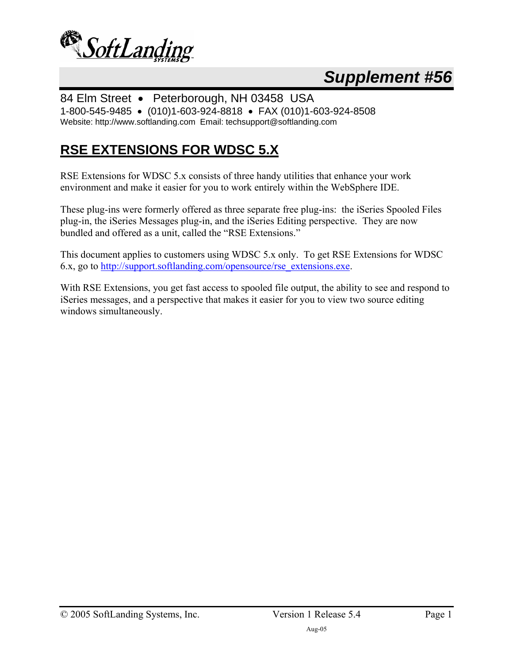

# *Supplement #56*

84 Elm Street • Peterborough, NH 03458 USA 1-800-545-9485 • (010)1-603-924-8818 • FAX (010)1-603-924-8508 Website: http://www.softlanding.com Email: techsupport@softlanding.com

## **RSE EXTENSIONS FOR WDSC 5.X**

RSE Extensions for WDSC 5.x consists of three handy utilities that enhance your work environment and make it easier for you to work entirely within the WebSphere IDE.

These plug-ins were formerly offered as three separate free plug-ins: the iSeries Spooled Files plug-in, the iSeries Messages plug-in, and the iSeries Editing perspective. They are now bundled and offered as a unit, called the "RSE Extensions."

This document applies to customers using WDSC 5.x only. To get RSE Extensions for WDSC 6.x, go to http://support.softlanding.com/opensource/rse\_extensions.exe.

With RSE Extensions, you get fast access to spooled file output, the ability to see and respond to iSeries messages, and a perspective that makes it easier for you to view two source editing windows simultaneously.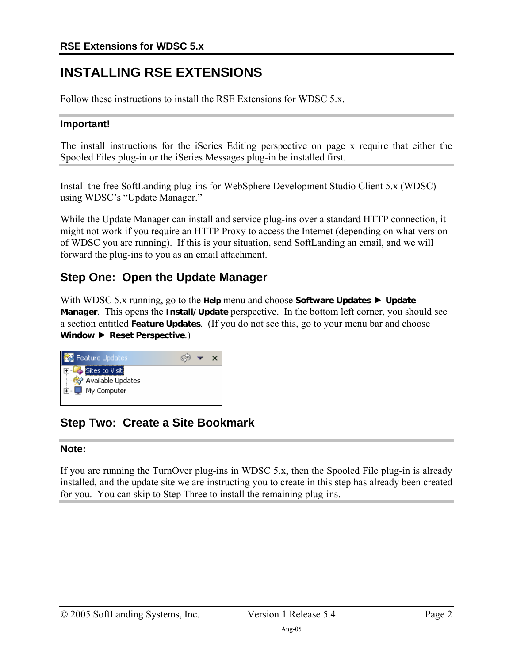## **INSTALLING RSE EXTENSIONS**

Follow these instructions to install the RSE Extensions for WDSC 5.x.

#### **Important!**

The install instructions for the iSeries Editing perspective on page x require that either the Spooled Files plug-in or the iSeries Messages plug-in be installed first.

Install the free SoftLanding plug-ins for WebSphere Development Studio Client 5.x (WDSC) using WDSC's "Update Manager."

While the Update Manager can install and service plug-ins over a standard HTTP connection, it might not work if you require an HTTP Proxy to access the Internet (depending on what version of WDSC you are running). If this is your situation, send SoftLanding an email, and we will forward the plug-ins to you as an email attachment.

## **Step One: Open the Update Manager**

With WDSC 5.x running, go to the **Help** menu and choose **Software Updates** ► **Update Manager**. This opens the **Install/Update** perspective. In the bottom left corner, you should see a section entitled **Feature Updates**. (If you do not see this, go to your menu bar and choose **Window** ► **Reset Perspective**.)



## **Step Two: Create a Site Bookmark**

#### **Note:**

If you are running the TurnOver plug-ins in WDSC 5.x, then the Spooled File plug-in is already installed, and the update site we are instructing you to create in this step has already been created for you. You can skip to Step Three to install the remaining plug-ins.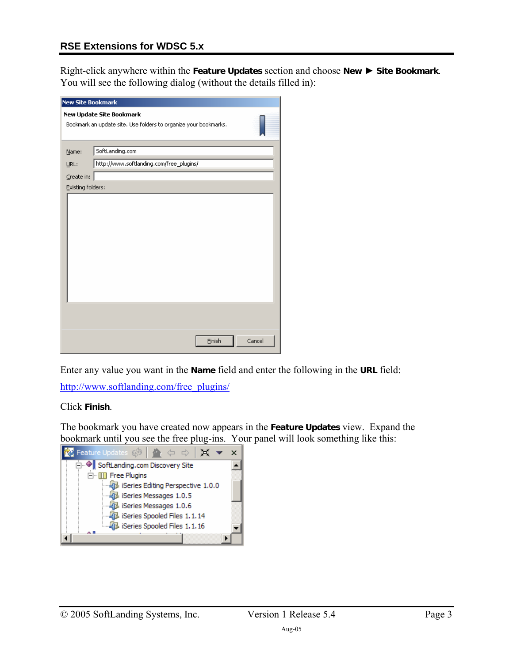#### **RSE Extensions for WDSC 5.x**

Right-click anywhere within the **Feature Updates** section and choose **New** ► **Site Bookmark**. You will see the following dialog (without the details filled in):

| <b>New Site Bookmark</b> |                                                                  |        |
|--------------------------|------------------------------------------------------------------|--------|
| New Update Site Bookmark |                                                                  |        |
|                          | Bookmark an update site. Use folders to organize your bookmarks. |        |
|                          |                                                                  |        |
| Name:                    | SoftLanding.com                                                  |        |
| URL:                     | http://www.softlanding.com/free_plugins/                         |        |
| Create in:               |                                                                  |        |
| Existing folders:        |                                                                  |        |
|                          |                                                                  |        |
|                          |                                                                  |        |
|                          |                                                                  |        |
|                          |                                                                  |        |
|                          |                                                                  |        |
|                          |                                                                  |        |
|                          |                                                                  |        |
|                          |                                                                  |        |
|                          |                                                                  |        |
|                          |                                                                  |        |
|                          |                                                                  |        |
|                          |                                                                  |        |
|                          |                                                                  |        |
|                          | Finish                                                           | Cancel |

Enter any value you want in the **Name** field and enter the following in the **URL** field:

http://www.softlanding.com/free\_plugins/

Click **Finish**.

The bookmark you have created now appears in the **Feature Updates** view. Expand the bookmark until you see the free plug-ins. Your panel will look something like this:

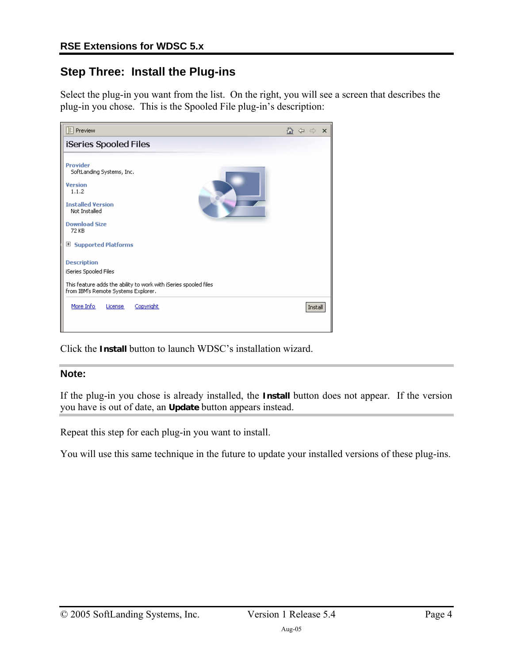## **Step Three: Install the Plug-ins**

Select the plug-in you want from the list. On the right, you will see a screen that describes the plug-in you chose. This is the Spooled File plug-in's description:

| <b>E</b> Preview                                                                                                                                       | ⋒<br>$\times$<br>⇔<br>- 42 |
|--------------------------------------------------------------------------------------------------------------------------------------------------------|----------------------------|
| iSeries Spooled Files                                                                                                                                  |                            |
| Provider<br>SoftLanding Systems, Inc.<br><b>Version</b><br>1.1.2                                                                                       |                            |
| <b>Installed Version</b><br>Not Installed                                                                                                              |                            |
| <b>Download Size</b><br>72 KB                                                                                                                          |                            |
| <b>Supported Platforms</b><br>⊞                                                                                                                        |                            |
| <b>Description</b><br>iSeries Spooled Files<br>This feature adds the ability to work with iSeries spooled files<br>from IBM's Remote Systems Explorer. |                            |
| More Info<br>Copyright<br>License                                                                                                                      | Install                    |

Click the **Install** button to launch WDSC's installation wizard.

#### **Note:**

If the plug-in you chose is already installed, the **Install** button does not appear. If the version you have is out of date, an **Update** button appears instead.

Repeat this step for each plug-in you want to install.

You will use this same technique in the future to update your installed versions of these plug-ins.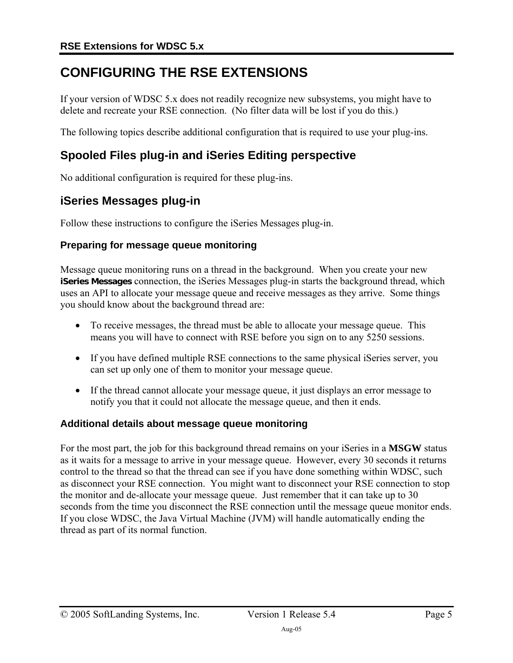## <span id="page-4-0"></span>**CONFIGURING THE RSE EXTENSIONS**

If your version of WDSC 5.x does not readily recognize new subsystems, you might have to delete and recreate your RSE connection. (No filter data will be lost if you do this.)

The following topics describe additional configuration that is required to use your plug-ins.

### **Spooled Files plug-in and iSeries Editing perspective**

No additional configuration is required for these plug-ins.

### **iSeries Messages plug-in**

Follow these instructions to configure the iSeries Messages plug-in.

#### **Preparing for message queue monitoring**

Message queue monitoring runs on a thread in the background. When you create your new **iSeries Messages** connection, the iSeries Messages plug-in starts the background thread, which uses an API to allocate your message queue and receive messages as they arrive. Some things you should know about the background thread are:

- To receive messages, the thread must be able to allocate your message queue. This means you will have to connect with RSE before you sign on to any 5250 sessions.
- If you have defined multiple RSE connections to the same physical iSeries server, you can set up only one of them to monitor your message queue.
- If the thread cannot allocate your message queue, it just displays an error message to notify you that it could not allocate the message queue, and then it ends.

#### **Additional details about message queue monitoring**

For the most part, the job for this background thread remains on your iSeries in a **MSGW** status as it waits for a message to arrive in your message queue. However, every 30 seconds it returns control to the thread so that the thread can see if you have done something within WDSC, such as disconnect your RSE connection. You might want to disconnect your RSE connection to stop the monitor and de-allocate your message queue. Just remember that it can take up to 30 seconds from the time you disconnect the RSE connection until the message queue monitor ends. If you close WDSC, the Java Virtual Machine (JVM) will handle automatically ending the thread as part of its normal function.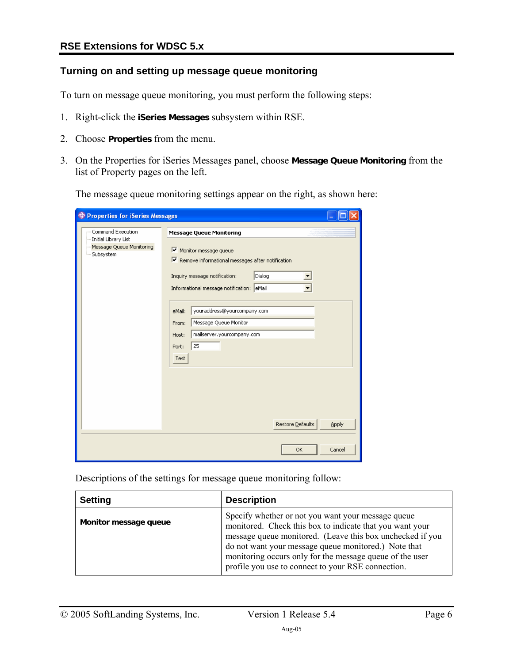#### **Turning on and setting up message queue monitoring**

To turn on message queue monitoring, you must perform the following steps:

- 1. Right-click the **iSeries Messages** subsystem within RSE.
- 2. Choose **Properties** from the menu.
- 3. On the Properties for iSeries Messages panel, choose **Message Queue Monitoring** from the list of Property pages on the left.

The message queue monitoring settings appear on the right, as shown here:

| <b>+ Properties for iSeries Messages</b>                      |                                                                                                                                                                                   |
|---------------------------------------------------------------|-----------------------------------------------------------------------------------------------------------------------------------------------------------------------------------|
| Command Execution                                             | <b>Message Queue Monitoring</b>                                                                                                                                                   |
| Initial Library List<br>Message Queue Monitoring<br>Subsystem | Monitor message queue<br>$\triangledown$ Remove informational messages after notification<br>Dialog<br>Inquiry message notification:<br>Informational message notification: eMail |
|                                                               | youraddress@yourcompany.com<br>eMail:<br>Message Queue Monitor<br>From:<br>mailserver.yourcompany.com<br>Host:<br>25<br>Port:<br>Test                                             |
|                                                               | Restore Defaults<br>Apply<br>Cancel<br><b>OK</b>                                                                                                                                  |

Descriptions of the settings for message queue monitoring follow:

| <b>Setting</b>        | <b>Description</b>                                                                                                                                                                                                                                                                                                                                    |
|-----------------------|-------------------------------------------------------------------------------------------------------------------------------------------------------------------------------------------------------------------------------------------------------------------------------------------------------------------------------------------------------|
| Monitor message queue | Specify whether or not you want your message queue<br>monitored. Check this box to indicate that you want your<br>message queue monitored. (Leave this box unchecked if you<br>do not want your message queue monitored.) Note that<br>monitoring occurs only for the message queue of the user<br>profile you use to connect to your RSE connection. |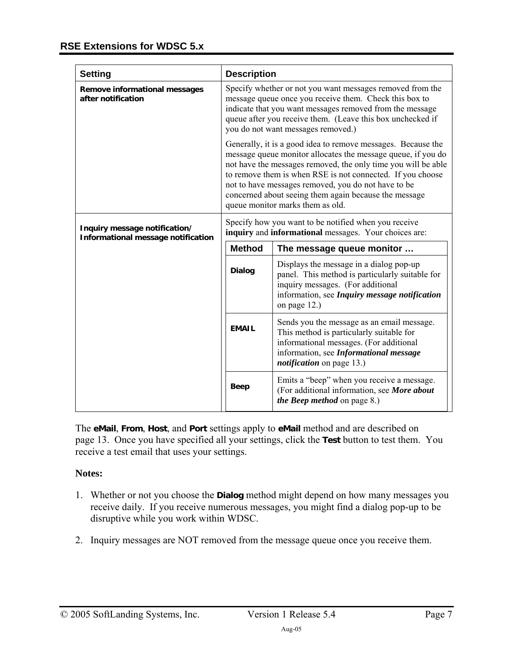| Setting                                                                                                                                                                              | <b>Description</b>                                                                                                                                                                                                                                                                                                                                                                                              |                                                                                                                                                                                                                 |
|--------------------------------------------------------------------------------------------------------------------------------------------------------------------------------------|-----------------------------------------------------------------------------------------------------------------------------------------------------------------------------------------------------------------------------------------------------------------------------------------------------------------------------------------------------------------------------------------------------------------|-----------------------------------------------------------------------------------------------------------------------------------------------------------------------------------------------------------------|
| <b>Remove informational messages</b><br>after notification                                                                                                                           | Specify whether or not you want messages removed from the<br>message queue once you receive them. Check this box to<br>indicate that you want messages removed from the message<br>queue after you receive them. (Leave this box unchecked if<br>you do not want messages removed.)                                                                                                                             |                                                                                                                                                                                                                 |
|                                                                                                                                                                                      | Generally, it is a good idea to remove messages. Because the<br>message queue monitor allocates the message queue, if you do<br>not have the messages removed, the only time you will be able<br>to remove them is when RSE is not connected. If you choose<br>not to have messages removed, you do not have to be<br>concerned about seeing them again because the message<br>queue monitor marks them as old. |                                                                                                                                                                                                                 |
| Specify how you want to be notified when you receive<br>Inquiry message notification/<br>inquiry and informational messages. Your choices are:<br>Informational message notification |                                                                                                                                                                                                                                                                                                                                                                                                                 |                                                                                                                                                                                                                 |
|                                                                                                                                                                                      | <b>Method</b>                                                                                                                                                                                                                                                                                                                                                                                                   | The message queue monitor                                                                                                                                                                                       |
|                                                                                                                                                                                      | <b>Dialog</b>                                                                                                                                                                                                                                                                                                                                                                                                   | Displays the message in a dialog pop-up<br>panel. This method is particularly suitable for<br>inquiry messages. (For additional<br>information, see Inquiry message notification<br>on page 12.)                |
|                                                                                                                                                                                      | <b>EMAIL</b>                                                                                                                                                                                                                                                                                                                                                                                                    | Sends you the message as an email message.<br>This method is particularly suitable for<br>informational messages. (For additional<br>information, see Informational message<br><i>notification</i> on page 13.) |
|                                                                                                                                                                                      | <b>Beep</b>                                                                                                                                                                                                                                                                                                                                                                                                     | Emits a "beep" when you receive a message.<br>(For additional information, see More about<br><i>the Beep method</i> on page 8.)                                                                                 |

The **eMail**, **From**, **Host**, and **Port** settings apply to **eMail** method and are described on page 13. Once you have specified all your settings, click the **Test** button to test them. You recei[ve a](#page-12-0) test email that uses your settings.

#### **Notes:**

- 1. Whether or not you choose the **Dialog** method might depend on how many messages you receive daily. If you receive numerous messages, you might find a dialog pop-up to be disruptive while you work within WDSC.
- 2. Inquiry messages are NOT removed from the message queue once you receive them.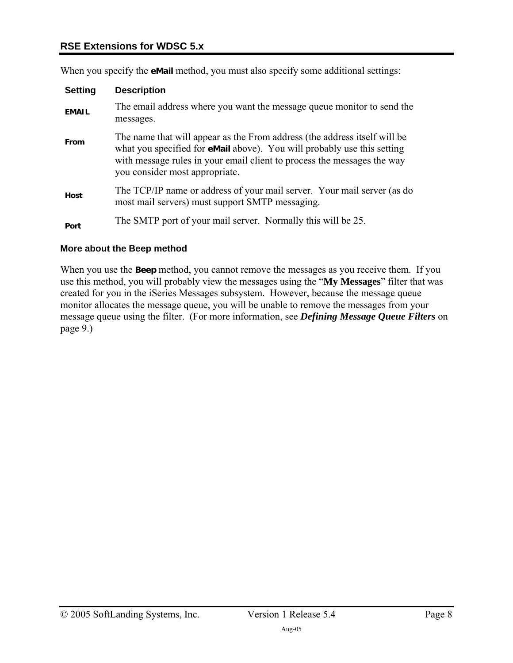#### **RSE Extensions for WDSC 5.x**

When you specify the **eMail** method, you must also specify some additional settings:

| <b>Setting</b> | <b>Description</b>                                                                                                                                                                                                                                                |
|----------------|-------------------------------------------------------------------------------------------------------------------------------------------------------------------------------------------------------------------------------------------------------------------|
| <b>EMAIL</b>   | The email address where you want the message queue monitor to send the<br>messages.                                                                                                                                                                               |
| From           | The name that will appear as the From address (the address itself will be<br>what you specified for eMail above). You will probably use this setting<br>with message rules in your email client to process the messages the way<br>you consider most appropriate. |
| Host           | The TCP/IP name or address of your mail server. Your mail server (as do<br>most mail servers) must support SMTP messaging.                                                                                                                                        |
| Port           | The SMTP port of your mail server. Normally this will be 25.                                                                                                                                                                                                      |

#### <span id="page-7-0"></span>**More about the Beep method**

When you use the **Beep** method, you cannot remove the messages as you receive them. If you use this method, you will probably view the messages using the "**My Messages**" filter that was created for you in the iSeries Messages subsystem. However, because the message queue monitor allocates the message queue, you will be unable to remove the messages from your message queue using the filter. (For more information, see *[Defining Message Queue Filters](#page-8-0)* on page [9.](#page-8-0))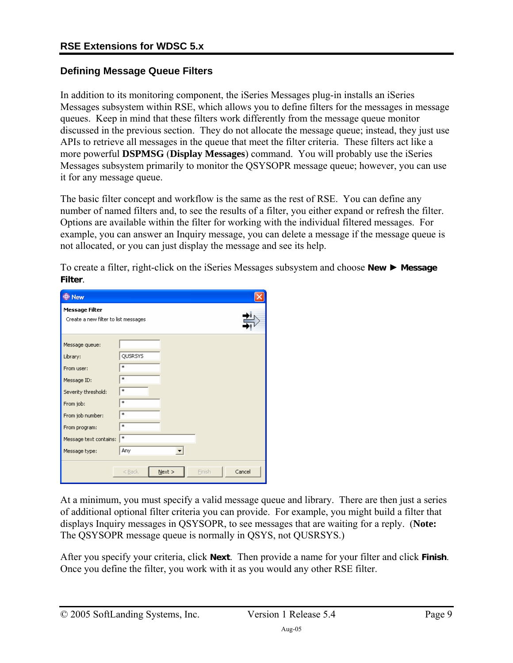#### <span id="page-8-0"></span>**Defining Message Queue Filters**

In addition to its monitoring component, the iSeries Messages plug-in installs an iSeries Messages subsystem within RSE, which allows you to define filters for the messages in message queues. Keep in mind that these filters work differently from the message queue monitor discussed in the previous section. They do not allocate the message queue; instead, they just use APIs to retrieve all messages in the queue that meet the filter criteria. These filters act like a more powerful **DSPMSG** (**Display Messages**) command. You will probably use the iSeries Messages subsystem primarily to monitor the QSYSOPR message queue; however, you can use it for any message queue.

The basic filter concept and workflow is the same as the rest of RSE. You can define any number of named filters and, to see the results of a filter, you either expand or refresh the filter. Options are available within the filter for working with the individual filtered messages. For example, you can answer an Inquiry message, you can delete a message if the message queue is not allocated, or you can just display the message and see its help.

To create a filter, right-click on the iSeries Messages subsystem and choose **New** ► **Message Filter**.

| <b>D</b> New                                                                                                                                                                |                                                        |
|-----------------------------------------------------------------------------------------------------------------------------------------------------------------------------|--------------------------------------------------------|
| <b>Message Filter</b><br>Create a new filter to list messages                                                                                                               |                                                        |
| Message queue:<br>Library:<br>From user:<br>Message ID:<br>Severity threshold:<br>From job:<br>From job number:<br>From program:<br>Message text contains:<br>Message type: | QUSRSYS<br>$\ast$<br>*<br>*<br>*<br>*<br>*<br>*<br>Any |
|                                                                                                                                                                             | Cancel<br>$N$ ext ><br>$<$ Back<br>Finish              |

At a minimum, you must specify a valid message queue and library. There are then just a series of additional optional filter criteria you can provide. For example, you might build a filter that displays Inquiry messages in QSYSOPR, to see messages that are waiting for a reply. (**Note:** The QSYSOPR message queue is normally in QSYS, not QUSRSYS.)

After you specify your criteria, click **Next**. Then provide a name for your filter and click **Finish**. Once you define the filter, you work with it as you would any other RSE filter.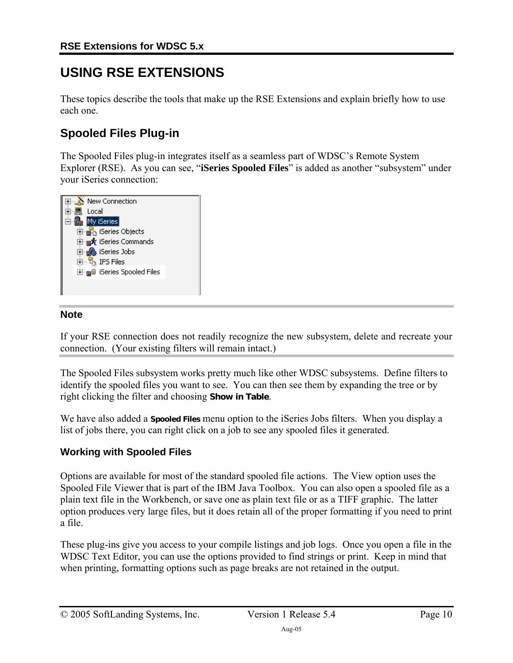## **USING RSE EXTENSIONS**

These topics describe the tools that make up the RSE Extensions and explain briefly how to use each one.

## **Spooled Files Plug-in**

The Spooled Files plug-in integrates itself as a seamless part of WDSC's Remote System Explorer (RSE). As you can see, "**iSeries Spooled Files**" is added as another "subsystem" under your iSeries connection:



#### **Note**

If your RSE connection does not readily recognize the new subsystem, delete and recreate your connection. (Your existing filters will remain intact.)

The Spooled Files subsystem works pretty much like other WDSC subsystems. Define filters to identify the spooled files you want to see. You can then see them by expanding the tree or by right clicking the filter and choosing **Show in Table**.

We have also added a **Spooled Files** menu option to the iSeries Jobs filters. When you display a list of jobs there, you can right click on a job to see any spooled files it generated.

#### **Working with Spooled Files**

Options are available for most of the standard spooled file actions. The View option uses the Spooled File Viewer that is part of the IBM Java Toolbox. You can also open a spooled file as a plain text file in the Workbench, or save one as plain text file or as a TIFF graphic. The latter option produces very large files, but it does retain all of the proper formatting if you need to print a file.

These plug-ins give you access to your compile listings and job logs. Once you open a file in the WDSC Text Editor, you can use the options provided to find strings or print. Keep in mind that when printing, formatting options such as page breaks are not retained in the output.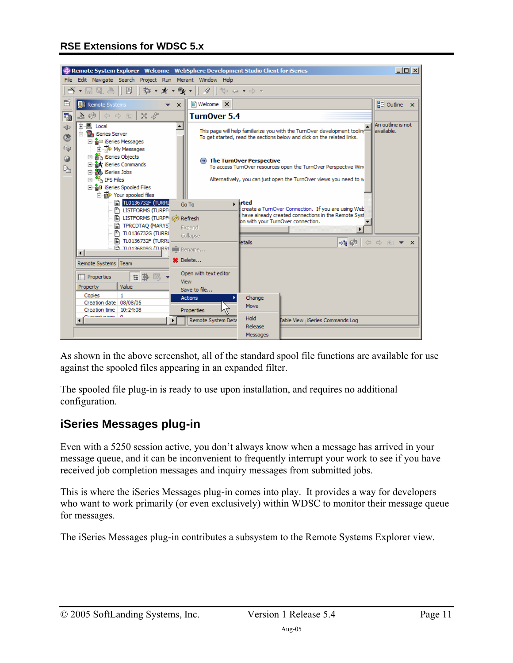

As shown in the above screenshot, all of the standard spool file functions are available for use against the spooled files appearing in an expanded filter.

The spooled file plug-in is ready to use upon installation, and requires no additional configuration.

## **iSeries Messages plug-in**

Even with a 5250 session active, you don't always know when a message has arrived in your message queue, and it can be inconvenient to frequently interrupt your work to see if you have received job completion messages and inquiry messages from submitted jobs.

This is where the iSeries Messages plug-in comes into play. It provides a way for developers who want to work primarily (or even exclusively) within WDSC to monitor their message queue for messages.

The iSeries Messages plug-in contributes a subsystem to the Remote Systems Explorer view.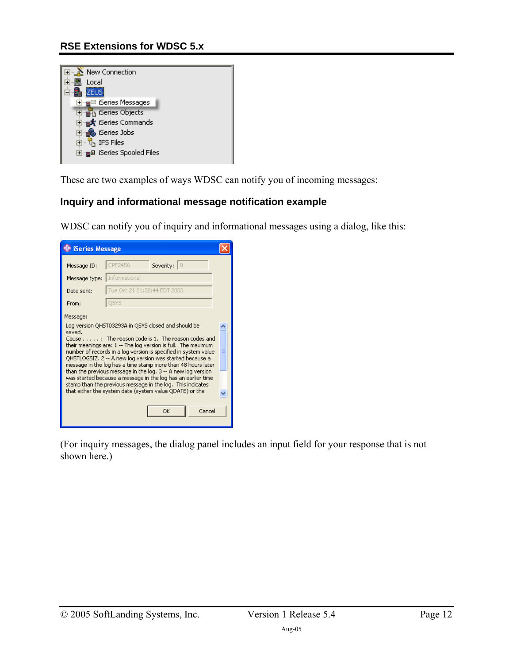#### **RSE Extensions for WDSC 5.x**

| New Connection<br>⊡…∆               |  |
|-------------------------------------|--|
| Local                               |  |
| <b>ZEUS</b>                         |  |
| ⊞ <sub>''⊞</sub> ⊠ iSeries Messages |  |
| <b>E</b> n iSeries Objects          |  |
| ⊟ <sub>"国</sub> 永 iSeries Commands  |  |
| 白 A iSeries Jobs                    |  |
| 白┈ L <mark>r</mark> IFS Files       |  |
| ⊞- ⊫ு iSeries Spooled Files         |  |
|                                     |  |

These are two examples of ways WDSC can notify you of incoming messages:

#### <span id="page-11-0"></span>**Inquiry and informational message notification example**

WDSC can notify you of inquiry and informational messages using a dialog, like this:



(For inquiry messages, the dialog panel includes an input field for your response that is not shown here.)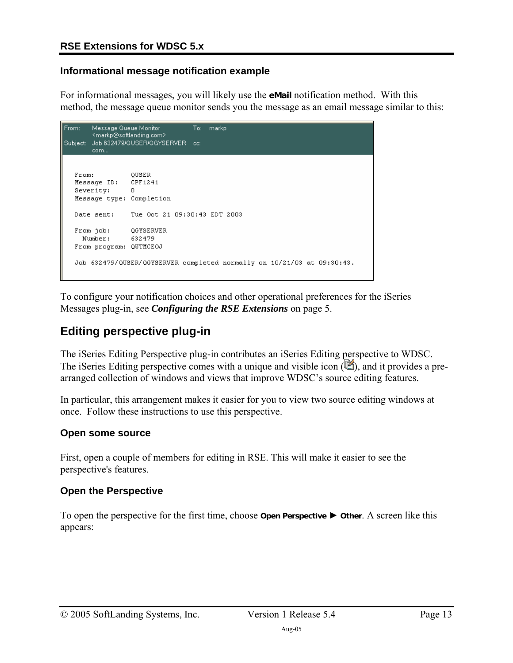#### <span id="page-12-0"></span>**Informational message notification example**

For informational messages, you will likely use the **eMail** notification method. With this method, the message queue monitor sends you the message as an email message similar to this:

```
Message Queue Monitor
From:
                                 To:markp
       <markp@softlanding.com>
Subject: Job 632479/QUSER/QGYSERVER cc:
       com...
  From:
                 QUSER
  Message ID: CPF1241
  Severity:
               \BoxMessage type: Completion
  Date sent: Tue Oct 21 09:30:43 EDT 2003
              QGYSERVER
  From job:
   Number:
                632479
  From program: QUTMCEOJ
  Job 632479/QUSER/QGYSERVER completed normally on 10/21/03 at 09:30:43.
```
To configure your notification choices and other operational preferences for the iSeries Messages plug-in, see *[Configuring the RSE Extensions](#page-4-0)* on page [5.](#page-4-0)

## **Editing perspective plug-in**

The iSeries Editing Perspective plug-in contributes an iSeries Editing perspective to WDSC. The iSeries Editing perspective comes with a unique and visible icon  $(\blacksquare)$ , and it provides a prearranged collection of windows and views that improve WDSC's source editing features.

In particular, this arrangement makes it easier for you to view two source editing windows at once. Follow these instructions to use this perspective.

#### **Open some source**

First, open a couple of members for editing in RSE. This will make it easier to see the perspective's features.

#### **Open the Perspective**

To open the perspective for the first time, choose **Open Perspective** ► **Other**. A screen like this appears: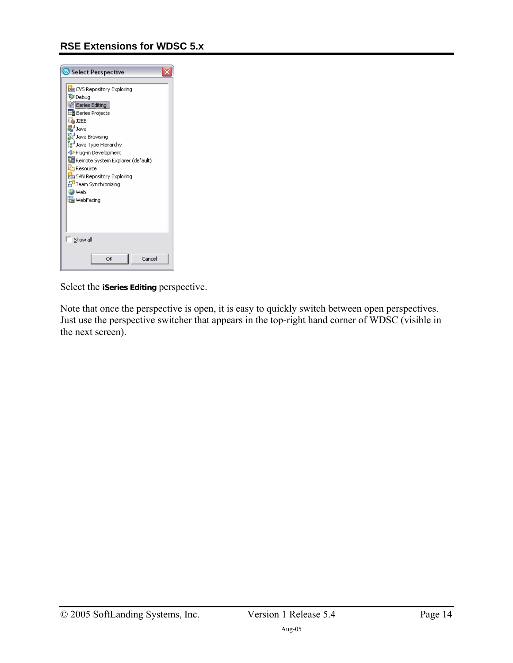

Select the **iSeries Editing** perspective.

Note that once the perspective is open, it is easy to quickly switch between open perspectives. Just use the perspective switcher that appears in the top-right hand corner of WDSC (visible in the next screen).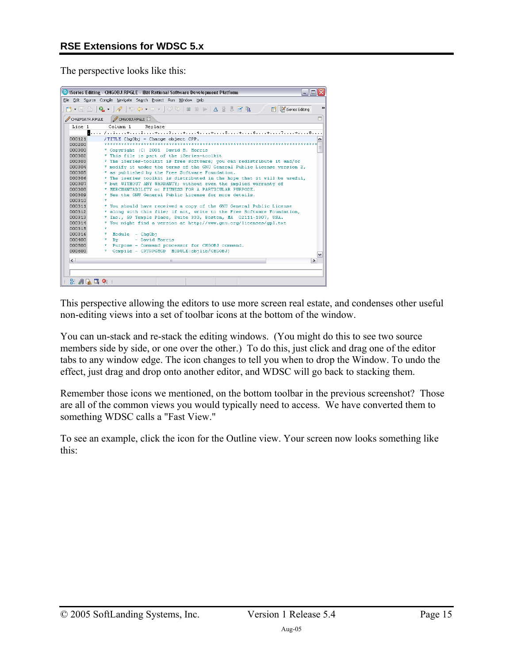The perspective looks like this:



This perspective allowing the editors to use more screen real estate, and condenses other useful non-editing views into a set of toolbar icons at the bottom of the window.

You can un-stack and re-stack the editing windows. (You might do this to see two source members side by side, or one over the other.) To do this, just click and drag one of the editor tabs to any window edge. The icon changes to tell you when to drop the Window. To undo the effect, just drag and drop onto another editor, and WDSC will go back to stacking them.

Remember those icons we mentioned, on the bottom toolbar in the previous screenshot? Those are all of the common views you would typically need to access. We have converted them to something WDSC calls a "Fast View."

To see an example, click the icon for the Outline view. Your screen now looks something like this: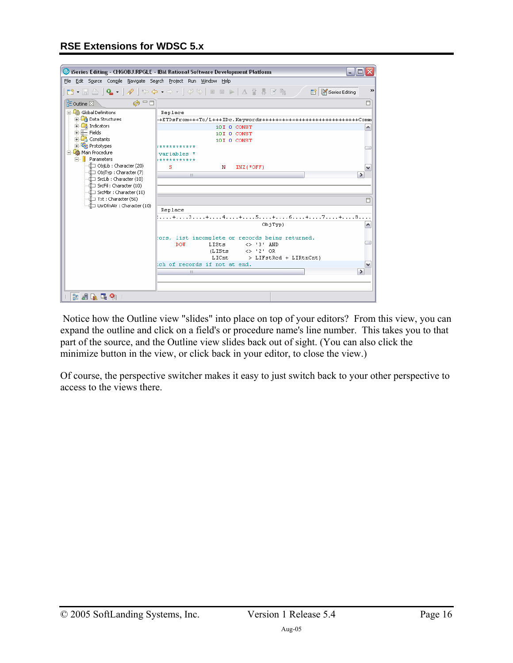|                                                                  | Series Editing - CHGOBJ.RPGLE - IBM Rational Software Development Platform<br>$-$ 10 |
|------------------------------------------------------------------|--------------------------------------------------------------------------------------|
| File Edit Source Compile Navigate Search Project Run Window Help |                                                                                      |
|                                                                  | >>                                                                                   |
|                                                                  |                                                                                      |
| $\omega = \Box$<br>$E$ Outline $\otimes$                         | O                                                                                    |
| Global Definitions                                               | Replace                                                                              |
| <b>En Data Structures</b>                                        | -+ETDsFrom+++To/L+++IDc.Keywords++++++++++++++++++++++++++++++Comm                   |
| <b>E</b> Indicators<br>由 <b>F</b> Fields                         | 10I 0 CONST<br>۸                                                                     |
| Constants                                                        | 10I O CONST                                                                          |
| <b>El The Prototypes</b>                                         | 10I 0 CONST<br>***********                                                           |
| 白 So Main Procedure                                              | variables                                                                            |
| 白 <b>B</b> Parameters                                            | ***********                                                                          |
| - DobjLib : Character (20)                                       | s<br>$INZ$ (*OFF)<br>N<br>v                                                          |
| -{III ObjTyp : Character (7)                                     | $\rightarrow$<br>III                                                                 |
| -{III SrcLib : Character (10)                                    |                                                                                      |
|                                                                  |                                                                                      |
| -∙iٌ—ī Txt : Character (50)                                      | 目                                                                                    |
|                                                                  | Replace                                                                              |
|                                                                  | :+3+4+5+6+7+8                                                                        |
|                                                                  | ObjTvp)<br>۸                                                                         |
|                                                                  |                                                                                      |
|                                                                  | ors, list incomplete or records being returned.                                      |
|                                                                  | <b>DOW</b><br>LISts<br>$\langle$ > '3' AND                                           |
|                                                                  | $\iff$ '2' OR<br>(LISts<br>LICnt                                                     |
|                                                                  | > LIFstRed + LIRtnCnt)<br>ch of records if not at end.<br>$\checkmark$               |
|                                                                  | $\rightarrow$<br>III                                                                 |
|                                                                  |                                                                                      |
|                                                                  |                                                                                      |
| 出頭麻 电角                                                           |                                                                                      |

 Notice how the Outline view "slides" into place on top of your editors? From this view, you can expand the outline and click on a field's or procedure name's line number. This takes you to that part of the source, and the Outline view slides back out of sight. (You can also click the minimize button in the view, or click back in your editor, to close the view.)

Of course, the perspective switcher makes it easy to just switch back to your other perspective to access to the views there.